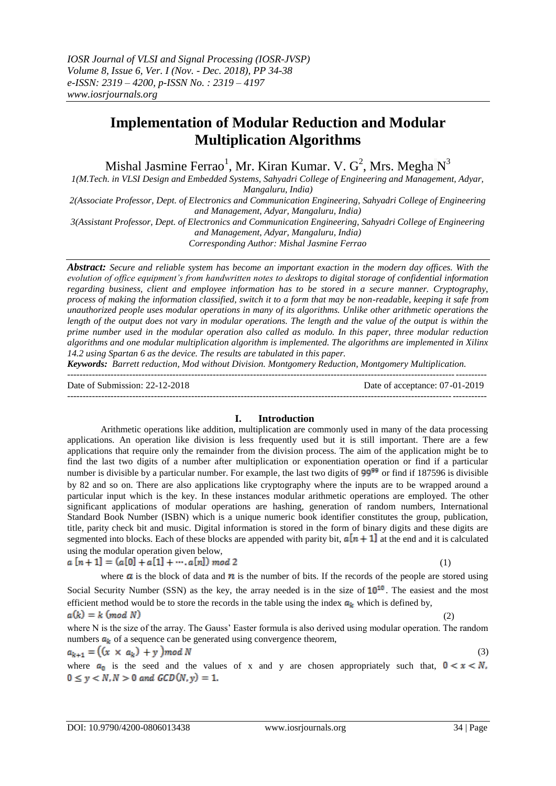# **Implementation of Modular Reduction and Modular Multiplication Algorithms**

Mishal Jasmine Ferrao $^1$ , Mr. Kiran Kumar. V.  $G^2$ , Mrs. Megha  $N^3$ 

*1(M.Tech. in VLSI Design and Embedded Systems, Sahyadri College of Engineering and Management, Adyar, Mangaluru, India)*

*2(Associate Professor, Dept. of Electronics and Communication Engineering, Sahyadri College of Engineering and Management, Adyar, Mangaluru, India)*

*3(Assistant Professor, Dept. of Electronics and Communication Engineering, Sahyadri College of Engineering and Management, Adyar, Mangaluru, India)*

*Corresponding Author: Mishal Jasmine Ferrao*

*Abstract: Secure and reliable system has become an important exaction in the modern day offices. With the evolution of office equipment's from handwritten notes to desktops to digital storage of confidential information regarding business, client and employee information has to be stored in a secure manner. Cryptography, process of making the information classified, switch it to a form that may be non-readable, keeping it safe from unauthorized people uses modular operations in many of its algorithms. Unlike other arithmetic operations the length of the output does not vary in modular operations. The length and the value of the output is within the prime number used in the modular operation also called as modulo. In this paper, three modular reduction algorithms and one modular multiplication algorithm is implemented. The algorithms are implemented in Xilinx 14.2 using Spartan 6 as the device. The results are tabulated in this paper.* 

*Keywords: Barrett reduction, Mod without Division. Montgomery Reduction, Montgomery Multiplication.*  ---------------------------------------------------------------------------------------------------------------------------------------

Date of Submission: 22-12-2018 Date of acceptance: 07-01-2019

#### ---------------------------------------------------------------------------------------------------------------------------------------

#### **I. Introduction**

Arithmetic operations like addition, multiplication are commonly used in many of the data processing applications. An operation like division is less frequently used but it is still important. There are a few applications that require only the remainder from the division process. The aim of the application might be to find the last two digits of a number after multiplication or exponentiation operation or find if a particular number is divisible by a particular number. For example, the last two digits of 99<sup>99</sup> or find if 187596 is divisible by 82 and so on. There are also applications like cryptography where the inputs are to be wrapped around a particular input which is the key. In these instances modular arithmetic operations are employed. The other significant applications of modular operations are hashing, generation of random numbers, International Standard Book Number (ISBN) which is a unique numeric book identifier constitutes the group, publication, title, parity check bit and music. Digital information is stored in the form of binary digits and these digits are segmented into blocks. Each of these blocks are appended with parity bit,  $a[n+1]$  at the end and it is calculated using the modular operation given below,

$$
a[n+1] = (a[0] + a[1] + \cdots, a[n]) \mod 2
$$

(1)

where  $\alpha$  is the block of data and  $\dot{n}$  is the number of bits. If the records of the people are stored using Social Security Number (SSN) as the key, the array needed is in the size of  $10^{10}$ . The easiest and the most efficient method would be to store the records in the table using the index  $a_k$  which is defined by,  $a(k) = k \pmod{N}$ (2)

where N is the size of the array. The Gauss' Easter formula is also derived using modular operation. The random numbers  $\boldsymbol{a_k}$  of a sequence can be generated using convergence theorem,

$$
a_{k+1} = ((x \times a_k) + y) \mod N \tag{3}
$$

where  $a_0$  is the seed and the values of x and y are chosen appropriately such that,  $0 < x < N$ ,  $0 \le y < N, N > 0$  and  $GCD(N, y) = 1$ .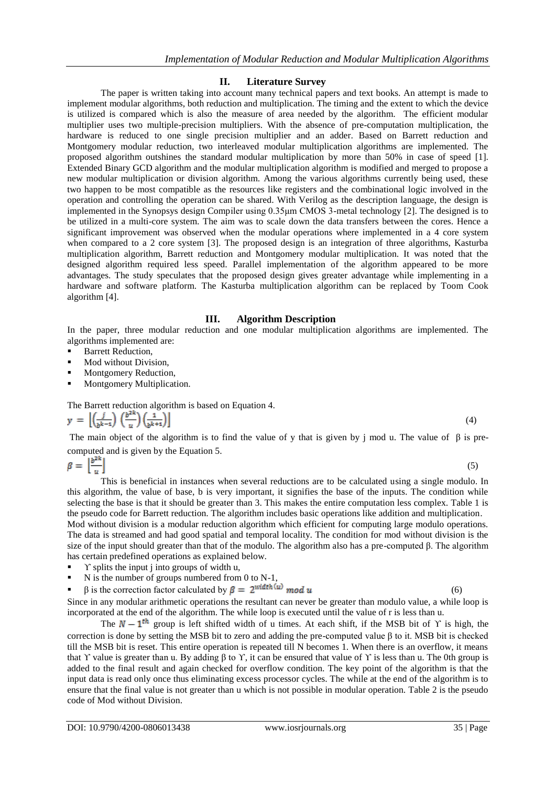### **II. Literature Survey**

The paper is written taking into account many technical papers and text books. An attempt is made to implement modular algorithms, both reduction and multiplication. The timing and the extent to which the device is utilized is compared which is also the measure of area needed by the algorithm. The efficient modular multiplier uses two multiple-precision multipliers. With the absence of pre-computation multiplication, the hardware is reduced to one single precision multiplier and an adder. Based on Barrett reduction and Montgomery modular reduction, two interleaved modular multiplication algorithms are implemented. The proposed algorithm outshines the standard modular multiplication by more than 50% in case of speed [1]. Extended Binary GCD algorithm and the modular multiplication algorithm is modified and merged to propose a new modular multiplication or division algorithm. Among the various algorithms currently being used, these two happen to be most compatible as the resources like registers and the combinational logic involved in the operation and controlling the operation can be shared. With Verilog as the description language, the design is implemented in the Synopsys design Compiler using 0.35μm CMOS 3-metal technology [2]. The designed is to be utilized in a multi-core system. The aim was to scale down the data transfers between the cores. Hence a significant improvement was observed when the modular operations where implemented in a 4 core system when compared to a 2 core system [3]. The proposed design is an integration of three algorithms, Kasturba multiplication algorithm, Barrett reduction and Montgomery modular multiplication. It was noted that the designed algorithm required less speed. Parallel implementation of the algorithm appeared to be more advantages. The study speculates that the proposed design gives greater advantage while implementing in a hardware and software platform. The Kasturba multiplication algorithm can be replaced by Toom Cook algorithm [4].

### **III. Algorithm Description**

In the paper, three modular reduction and one modular multiplication algorithms are implemented. The algorithms implemented are:

- Barrett Reduction,
- Mod without Division,
- Montgomery Reduction,
- Montgomery Multiplication.

The Barrett reduction algorithm is based on Equation 4.

$$
y = \left[ \left( \frac{j}{b^{k-1}} \right) \left( \frac{b^{2k}}{u} \right) \left( \frac{1}{b^{k+1}} \right) \right] \tag{4}
$$

The main object of the algorithm is to find the value of y that is given by j mod u. The value of β is precomputed and is given by the Equation 5.

 $\beta = \left\lfloor \frac{b^{2k}}{n} \right\rfloor$ (5)

This is beneficial in instances when several reductions are to be calculated using a single modulo. In this algorithm, the value of base, b is very important, it signifies the base of the inputs. The condition while selecting the base is that it should be greater than 3. This makes the entire computation less complex. Table 1 is the pseudo code for Barrett reduction. The algorithm includes basic operations like addition and multiplication. Mod without division is a modular reduction algorithm which efficient for computing large modulo operations. The data is streamed and had good spatial and temporal locality. The condition for mod without division is the size of the input should greater than that of the modulo. The algorithm also has a pre-computed β. The algorithm has certain predefined operations as explained below.

- Y splits the input j into groups of width u,
- N is the number of groups numbered from 0 to N-1,
- β is the correction factor calculated by  $β = 2<sup>width (u)</sup> mod u$  (6)

Since in any modular arithmetic operations the resultant can never be greater than modulo value, a while loop is incorporated at the end of the algorithm. The while loop is executed until the value of r is less than u.

The  $N-1^{th}$  group is left shifted width of u times. At each shift, if the MSB bit of Y is high, the correction is done by setting the MSB bit to zero and adding the pre-computed value β to it. MSB bit is checked till the MSB bit is reset. This entire operation is repeated till N becomes 1. When there is an overflow, it means that *Y* value is greater than u. By adding β to *Y*, it can be ensured that value of *Y* is less than u. The 0th group is added to the final result and again checked for overflow condition. The key point of the algorithm is that the input data is read only once thus eliminating excess processor cycles. The while at the end of the algorithm is to ensure that the final value is not greater than u which is not possible in modular operation. Table 2 is the pseudo code of Mod without Division.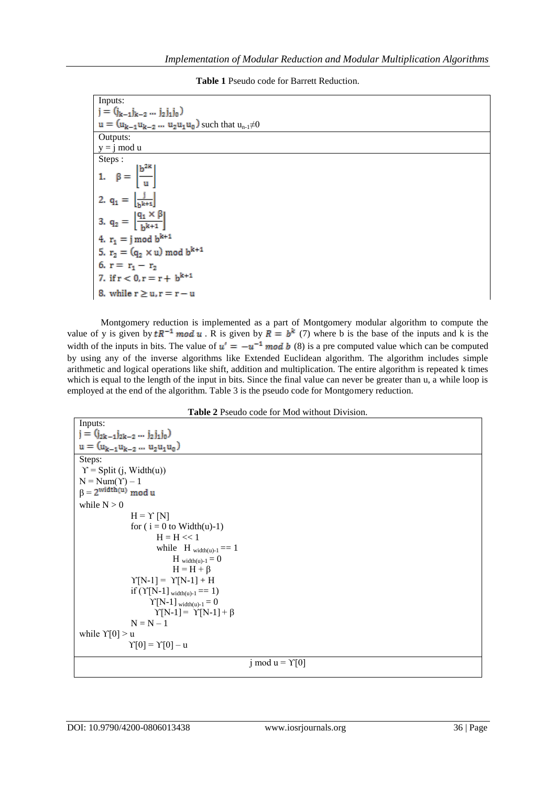**Table 1** Pseudo code for Barrett Reduction.

| Inputs:                                                     |
|-------------------------------------------------------------|
| $j = (j_{k-1}j_{k-2}j_2j_1j_0)$                             |
| $u = (u_{k-1}u_{k-2} u_2u_1u_0)$ such that $u_{n-1} \neq 0$ |
| Outputs:                                                    |
| $y = j \mod u$                                              |
| Steps:                                                      |
| 1. $\beta = \left  \frac{b^{2k}}{u} \right $                |
| 2. $q_1 = \left[\frac{j}{b^{k+1}}\right]$                   |
| 3. $q_2 = \left  \frac{q_1 \times \beta}{h^{k+1}} \right $  |
| 4. $r_1 = j \mod b^{k+1}$                                   |
| 5. $r_2 = (q_2 \times u) \text{ mod } b^{k+1}$              |
| 6. $r = r_1 - r_2$                                          |
| 7. if $r < 0, r = r + b^{k+1}$                              |
| 8. while $r \ge u, r = r - u$                               |

Montgomery reduction is implemented as a part of Montgomery modular algorithm to compute the value of y is given by  $tR^{-1}$  mod u. R is given by  $R = b^k$  (7) where b is the base of the inputs and k is the width of the inputs in bits. The value of  $u' = -u^{-1}$  mod b (8) is a pre computed value which can be computed by using any of the inverse algorithms like Extended Euclidean algorithm. The algorithm includes simple arithmetic and logical operations like shift, addition and multiplication. The entire algorithm is repeated k times which is equal to the length of the input in bits. Since the final value can never be greater than u, a while loop is employed at the end of the algorithm. Table 3 is the pseudo code for Montgomery reduction.

|  |  | <b>Table 2</b> Pseudo code for Mod without Division. |
|--|--|------------------------------------------------------|
|--|--|------------------------------------------------------|

| $j = (j_{2k-1}j_{2k-2} j_2j_1j_0)$           |
|----------------------------------------------|
| $u = (u_{k-1}u_{k-2}u_2u_1u_0)$              |
| Steps:                                       |
| $\Upsilon$ = Split (j, Width(u))             |
| $N = Num(Y) - 1$                             |
| $\beta = 2^{\text{width}(u)} \text{ mod } u$ |
| while $N > 0$                                |
| $H = \Upsilon$ [N]                           |
| for $(i = 0$ to Width $(u)-1)$               |
| $H = H \ll 1$                                |
| while $H_{width(u)-1} == 1$                  |
| $H_{width(u)-1}=0$                           |
| $H = H + \beta$                              |
| $\Upsilon[N-1] = \Upsilon[N-1] + H$          |
| if $(Y[N-1]_{width(u)-1} == 1)$              |
| $\Upsilon[N-1]$ <sub>width(u)-1</sub> = 0    |
| $\Upsilon[N-1] = \Upsilon[N-1] + \beta$      |
| $N = N - 1$                                  |
| while $Y[0] > u$                             |
| $\Upsilon[0] = \Upsilon[0] - u$              |
|                                              |
| j mod u = $\Upsilon[0]$                      |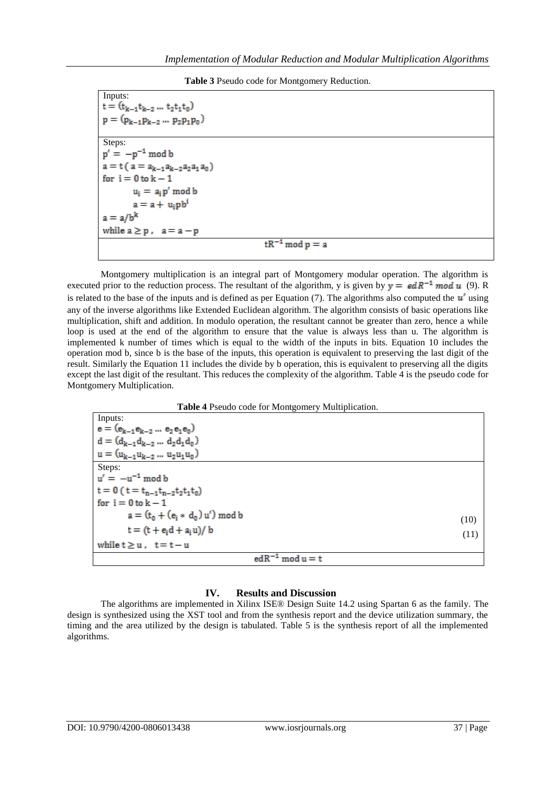|  | Table 3 Pseudo code for Montgomery Reduction. |  |
|--|-----------------------------------------------|--|
|--|-----------------------------------------------|--|

| Inputs:                                |
|----------------------------------------|
| $t = (t_{k-1}t_{k-2}  t_2t_1t_0)$      |
| $p = (p_{k-1}p_{k-2} \dots p_2p_1p_0)$ |
|                                        |
| Steps:                                 |
| $p' = -p^{-1} \mod b$                  |
| $a = t (a = a_{k-1}a_{k-2}a_2a_1a_0)$  |
| for $i = 0$ to $k - 1$                 |
| $u_i = a_i p' \mod b$                  |
| $a = a + uipbi$                        |
| $a = a/b^k$                            |
| while $a \ge p$ , $a = a - p$          |
| $tR^{-1}$ mod $p = a$                  |

Montgomery multiplication is an integral part of Montgomery modular operation. The algorithm is executed prior to the reduction process. The resultant of the algorithm, y is given by  $y = edR^{-1}$  mod u (9). R is related to the base of the inputs and is defined as per Equation (7). The algorithms also computed the  $u'$  using any of the inverse algorithms like Extended Euclidean algorithm. The algorithm consists of basic operations like multiplication, shift and addition. In modulo operation, the resultant cannot be greater than zero, hence a while loop is used at the end of the algorithm to ensure that the value is always less than u. The algorithm is implemented k number of times which is equal to the width of the inputs in bits. Equation 10 includes the operation mod b, since b is the base of the inputs, this operation is equivalent to preserving the last digit of the result. Similarly the Equation 11 includes the divide by b operation, this is equivalent to preserving all the digits except the last digit of the resultant. This reduces the complexity of the algorithm. Table 4 is the pseudo code for Montgomery Multiplication.

**Table 4** Pseudo code for Montgomery Multiplication.

| Inputs:                                   |      |
|-------------------------------------------|------|
| $e = (e_{k-1}e_{k-2} \dots e_2 e_1 e_0)$  |      |
| $d = (d_{k-1}d_{k-2}  d_2d_1d_0)$         |      |
| $u = (u_{k-1}u_{k-2}  u_2u_1u_0)$         |      |
| Steps:                                    |      |
| $u' = -u^{-1} \mod b$                     |      |
| $t = 0$ ( $t = t_{n-1}t_{n-2}t_2t_1t_0$ ) |      |
| for $i = 0$ to $k - 1$                    |      |
| $a = (t_0 + (e_i * d_0) u') \bmod b$      | (10) |
| $t = (t + e_i d + a_i u) / b$             | (11) |
| while $t \geq u$ , $t = t - u$            |      |
| $edR^{-1}$ mod $u = t$                    |      |

## **IV. Results and Discussion**

The algorithms are implemented in Xilinx ISE® Design Suite 14.2 using Spartan 6 as the family. The design is synthesized using the XST tool and from the synthesis report and the device utilization summary, the timing and the area utilized by the design is tabulated. Table 5 is the synthesis report of all the implemented algorithms.